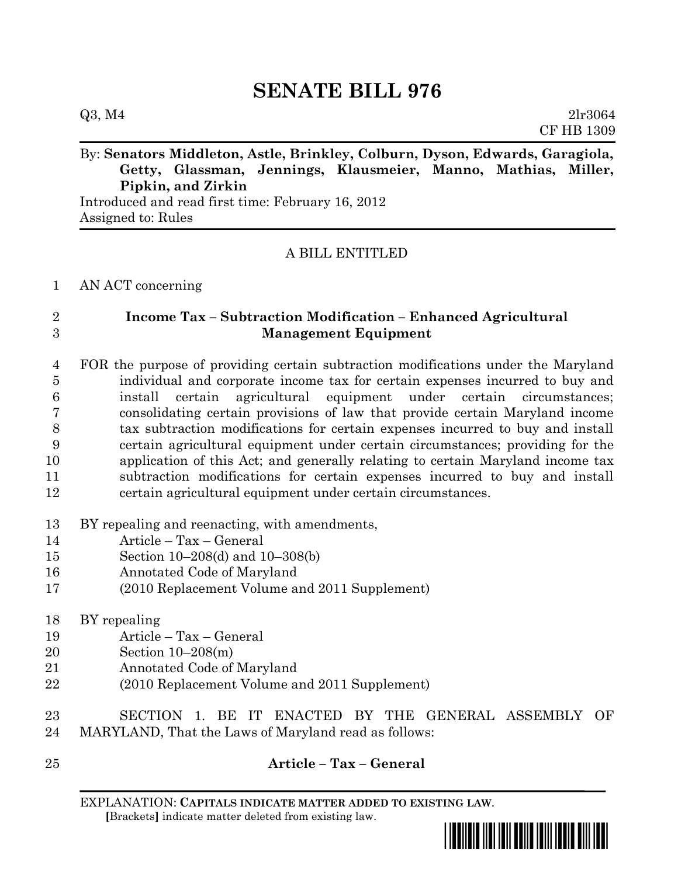# **SENATE BILL 976**

## By: **Senators Middleton, Astle, Brinkley, Colburn, Dyson, Edwards, Garagiola, Getty, Glassman, Jennings, Klausmeier, Manno, Mathias, Miller, Pipkin, and Zirkin**

Introduced and read first time: February 16, 2012 Assigned to: Rules

### A BILL ENTITLED

#### AN ACT concerning

#### **Income Tax – Subtraction Modification – Enhanced Agricultural Management Equipment**

 FOR the purpose of providing certain subtraction modifications under the Maryland individual and corporate income tax for certain expenses incurred to buy and install certain agricultural equipment under certain circumstances; consolidating certain provisions of law that provide certain Maryland income tax subtraction modifications for certain expenses incurred to buy and install certain agricultural equipment under certain circumstances; providing for the application of this Act; and generally relating to certain Maryland income tax subtraction modifications for certain expenses incurred to buy and install certain agricultural equipment under certain circumstances.

#### BY repealing and reenacting, with amendments,

- Article Tax General
- Section 10–208(d) and 10–308(b)
- Annotated Code of Maryland
- (2010 Replacement Volume and 2011 Supplement)
- BY repealing
- Article Tax General
- Section 10–208(m)
- Annotated Code of Maryland
- (2010 Replacement Volume and 2011 Supplement)

## **Article – Tax – General**

EXPLANATION: **CAPITALS INDICATE MATTER ADDED TO EXISTING LAW**.  **[**Brackets**]** indicate matter deleted from existing law.



 SECTION 1. BE IT ENACTED BY THE GENERAL ASSEMBLY OF MARYLAND, That the Laws of Maryland read as follows: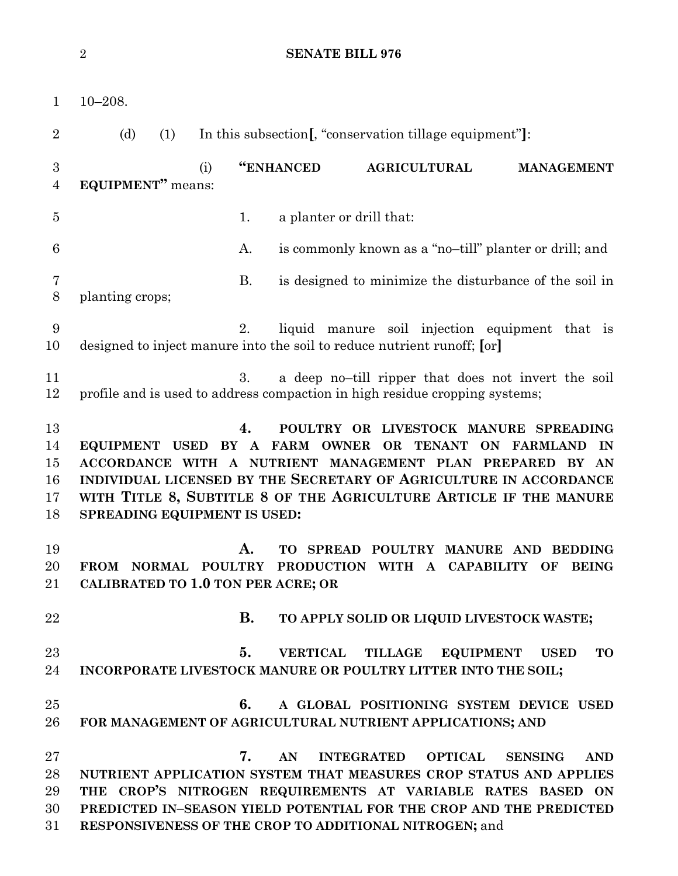**SENATE BILL 976**

| $\mathbf{1}$                     | $10 - 208.$                                                                                                                                                                                                                                                                                                                                                   |
|----------------------------------|---------------------------------------------------------------------------------------------------------------------------------------------------------------------------------------------------------------------------------------------------------------------------------------------------------------------------------------------------------------|
| $\overline{2}$                   | (d)<br>In this subsection [, "conservation tillage equipment"]:<br>(1)                                                                                                                                                                                                                                                                                        |
| 3<br>$\overline{4}$              | "ENHANCED<br><b>AGRICULTURAL</b><br>(i)<br><b>MANAGEMENT</b><br>EQUIPMENT" means:                                                                                                                                                                                                                                                                             |
| $\overline{5}$                   | 1.<br>a planter or drill that:                                                                                                                                                                                                                                                                                                                                |
| 6                                | is commonly known as a "no-till" planter or drill; and<br>A.                                                                                                                                                                                                                                                                                                  |
| 7<br>8                           | <b>B.</b><br>is designed to minimize the disturbance of the soil in<br>planting crops;                                                                                                                                                                                                                                                                        |
| 9<br>10                          | liquid manure soil injection equipment that is<br>2.<br>designed to inject manure into the soil to reduce nutrient runoff; [or]                                                                                                                                                                                                                               |
| 11<br>12                         | 3.<br>a deep no-till ripper that does not invert the soil<br>profile and is used to address compaction in high residue cropping systems;                                                                                                                                                                                                                      |
| 13<br>14<br>15<br>16<br>17<br>18 | POULTRY OR LIVESTOCK MANURE SPREADING<br>4.<br>EQUIPMENT USED BY A FARM OWNER<br>OR TENANT<br><b>ON FARMLAND</b><br>IN<br>ACCORDANCE WITH A NUTRIENT MANAGEMENT PLAN PREPARED BY AN<br>INDIVIDUAL LICENSED BY THE SECRETARY OF AGRICULTURE IN ACCORDANCE<br>WITH TITLE 8, SUBTITLE 8 OF THE AGRICULTURE ARTICLE IF THE MANURE<br>SPREADING EQUIPMENT IS USED: |
| 19<br>20<br>21                   | А.<br><b>ТО</b><br><b>SPREAD</b><br>POULTRY MANURE AND<br><b>BEDDING</b><br><b>POULTRY</b><br>A CAPABILITY<br><b>FROM</b><br><b>NORMAL</b><br>PRODUCTION WITH<br><b>BEING</b><br>OF<br>CALIBRATED TO 1.0 TON PER ACRE; OR                                                                                                                                     |
| 22                               | <b>B.</b><br>TO APPLY SOLID OR LIQUID LIVESTOCK WASTE;                                                                                                                                                                                                                                                                                                        |
| 23<br>24                         | <b>VERTICAL</b><br>TILLAGE<br>EQUIPMENT USED<br><b>TO</b><br>5.<br>INCORPORATE LIVESTOCK MANURE OR POULTRY LITTER INTO THE SOIL;                                                                                                                                                                                                                              |
| 25<br>26                         | 6.<br>A GLOBAL POSITIONING SYSTEM DEVICE USED<br>FOR MANAGEMENT OF AGRICULTURAL NUTRIENT APPLICATIONS; AND                                                                                                                                                                                                                                                    |
| 27<br>28<br>29<br>30<br>31       | 7.<br>AN<br><b>INTEGRATED</b><br><b>OPTICAL</b><br><b>AND</b><br><b>SENSING</b><br>NUTRIENT APPLICATION SYSTEM THAT MEASURES CROP STATUS AND APPLIES<br>THE CROP'S NITROGEN REQUIREMENTS AT VARIABLE RATES BASED ON<br>PREDICTED IN-SEASON YIELD POTENTIAL FOR THE CROP AND THE PREDICTED<br>RESPONSIVENESS OF THE CROP TO ADDITIONAL NITROGEN; and           |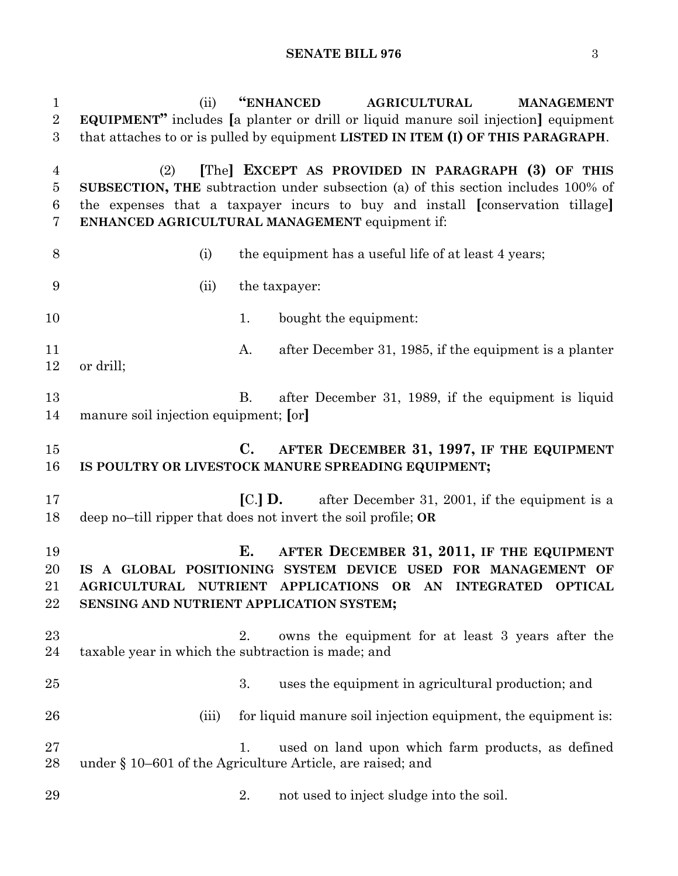| $\mathbf{1}$<br>$\overline{2}$<br>3        | "ENHANCED<br>(ii)<br><b>AGRICULTURAL</b><br><b>MANAGEMENT</b><br><b>EQUIPMENT</b> " includes [a planter or drill or liquid manure soil injection] equipment<br>that attaches to or is pulled by equipment LISTED IN ITEM (I) OF THIS PARAGRAPH.                                  |
|--------------------------------------------|----------------------------------------------------------------------------------------------------------------------------------------------------------------------------------------------------------------------------------------------------------------------------------|
| $\overline{4}$<br>$\overline{5}$<br>6<br>7 | [The] EXCEPT AS PROVIDED IN PARAGRAPH (3) OF THIS<br>(2)<br>SUBSECTION, THE subtraction under subsection (a) of this section includes 100% of<br>the expenses that a taxpayer incurs to buy and install [conservation tillage]<br>ENHANCED AGRICULTURAL MANAGEMENT equipment if: |
| 8                                          | the equipment has a useful life of at least 4 years;<br>(i)                                                                                                                                                                                                                      |
| 9                                          | the taxpayer:<br>(ii)                                                                                                                                                                                                                                                            |
| 10                                         | bought the equipment:<br>1.                                                                                                                                                                                                                                                      |
| 11<br>12                                   | after December 31, 1985, if the equipment is a planter<br>A.<br>or drill;                                                                                                                                                                                                        |
| 13<br>14                                   | after December 31, 1989, if the equipment is liquid<br><b>B.</b><br>manure soil injection equipment; [or]                                                                                                                                                                        |
| 15<br>16                                   | $\mathbf{C}$ .<br>AFTER DECEMBER 31, 1997, IF THE EQUIPMENT<br>IS POULTRY OR LIVESTOCK MANURE SPREADING EQUIPMENT;                                                                                                                                                               |
| 17<br>18                                   | <b>[C.] D.</b> after December 31, 2001, if the equipment is a<br>deep no-till ripper that does not invert the soil profile; OR                                                                                                                                                   |
| 19<br>20<br>21<br>22                       | Е.<br>AFTER DECEMBER 31, 2011, IF THE EQUIPMENT<br>IS A GLOBAL POSITIONING SYSTEM DEVICE USED FOR MANAGEMENT OF<br>AGRICULTURAL NUTRIENT APPLICATIONS OR AN INTEGRATED OPTICAL<br>SENSING AND NUTRIENT APPLICATION SYSTEM;                                                       |
| 23<br>24                                   | owns the equipment for at least 3 years after the<br>2.<br>taxable year in which the subtraction is made; and                                                                                                                                                                    |
| 25                                         | 3.<br>uses the equipment in agricultural production; and                                                                                                                                                                                                                         |
| 26                                         | for liquid manure soil injection equipment, the equipment is:<br>(iii)                                                                                                                                                                                                           |
| 27<br>28                                   | used on land upon which farm products, as defined<br>$\mathbf{L}$<br>under § 10–601 of the Agriculture Article, are raised; and                                                                                                                                                  |
| 29                                         | not used to inject sludge into the soil.<br>2.                                                                                                                                                                                                                                   |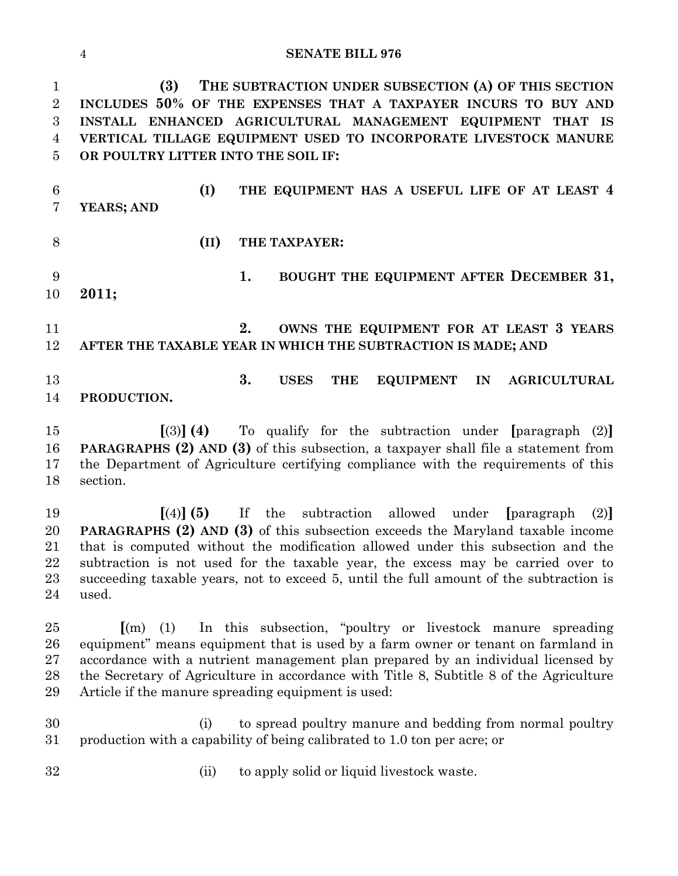#### **SENATE BILL 976**

 **(3) THE SUBTRACTION UNDER SUBSECTION (A) OF THIS SECTION INCLUDES 50% OF THE EXPENSES THAT A TAXPAYER INCURS TO BUY AND INSTALL ENHANCED AGRICULTURAL MANAGEMENT EQUIPMENT THAT IS VERTICAL TILLAGE EQUIPMENT USED TO INCORPORATE LIVESTOCK MANURE OR POULTRY LITTER INTO THE SOIL IF:**

 **(I) THE EQUIPMENT HAS A USEFUL LIFE OF AT LEAST 4 YEARS; AND**

- **(II) THE TAXPAYER:**
- **1. BOUGHT THE EQUIPMENT AFTER DECEMBER 31, 2011;**

 **2. OWNS THE EQUIPMENT FOR AT LEAST 3 YEARS AFTER THE TAXABLE YEAR IN WHICH THE SUBTRACTION IS MADE; AND**

 **3. USES THE EQUIPMENT IN AGRICULTURAL PRODUCTION.**

 **[**(3)**] (4)** To qualify for the subtraction under **[**paragraph (2)**] PARAGRAPHS (2) AND (3)** of this subsection, a taxpayer shall file a statement from the Department of Agriculture certifying compliance with the requirements of this section.

 **[**(4)**] (5)** If the subtraction allowed under **[**paragraph (2)**] PARAGRAPHS (2) AND (3)** of this subsection exceeds the Maryland taxable income that is computed without the modification allowed under this subsection and the subtraction is not used for the taxable year, the excess may be carried over to succeeding taxable years, not to exceed 5, until the full amount of the subtraction is used.

 **[**(m) (1) In this subsection, "poultry or livestock manure spreading equipment" means equipment that is used by a farm owner or tenant on farmland in accordance with a nutrient management plan prepared by an individual licensed by the Secretary of Agriculture in accordance with Title 8, Subtitle 8 of the Agriculture Article if the manure spreading equipment is used:

 (i) to spread poultry manure and bedding from normal poultry production with a capability of being calibrated to 1.0 ton per acre; or

- 
- (ii) to apply solid or liquid livestock waste.